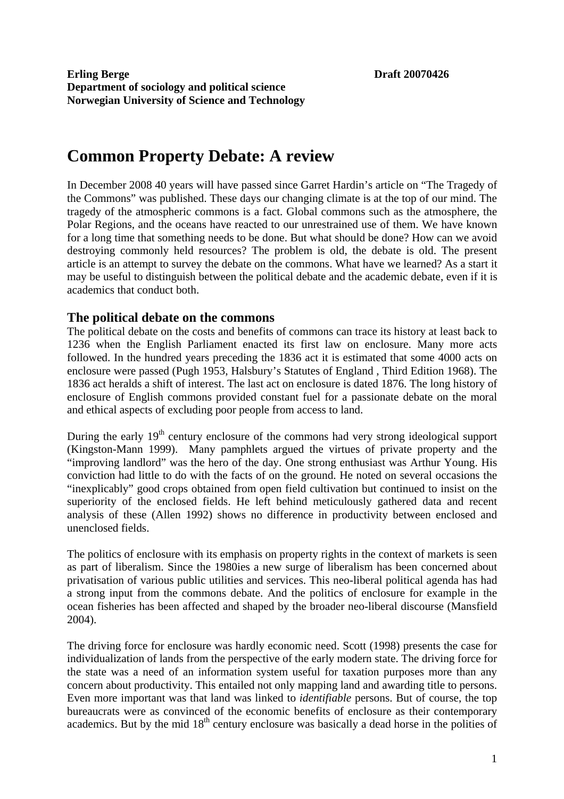# **Common Property Debate: A review**

In December 2008 40 years will have passed since Garret Hardin's article on "The Tragedy of the Commons" was published. These days our changing climate is at the top of our mind. The tragedy of the atmospheric commons is a fact. Global commons such as the atmosphere, the Polar Regions, and the oceans have reacted to our unrestrained use of them. We have known for a long time that something needs to be done. But what should be done? How can we avoid destroying commonly held resources? The problem is old, the debate is old. The present article is an attempt to survey the debate on the commons. What have we learned? As a start it may be useful to distinguish between the political debate and the academic debate, even if it is academics that conduct both.

## **The political debate on the commons**

The political debate on the costs and benefits of commons can trace its history at least back to 1236 when the English Parliament enacted its first law on enclosure. Many more acts followed. In the hundred years preceding the 1836 act it is estimated that some 4000 acts on enclosure were passed (Pugh 1953, Halsbury's Statutes of England , Third Edition 1968). The 1836 act heralds a shift of interest. The last act on enclosure is dated 1876. The long history of enclosure of English commons provided constant fuel for a passionate debate on the moral and ethical aspects of excluding poor people from access to land.

During the early 19<sup>th</sup> century enclosure of the commons had very strong ideological support (Kingston-Mann 1999). Many pamphlets argued the virtues of private property and the "improving landlord" was the hero of the day. One strong enthusiast was Arthur Young. His conviction had little to do with the facts of on the ground. He noted on several occasions the "inexplicably" good crops obtained from open field cultivation but continued to insist on the superiority of the enclosed fields. He left behind meticulously gathered data and recent analysis of these (Allen 1992) shows no difference in productivity between enclosed and unenclosed fields.

The politics of enclosure with its emphasis on property rights in the context of markets is seen as part of liberalism. Since the 1980ies a new surge of liberalism has been concerned about privatisation of various public utilities and services. This neo-liberal political agenda has had a strong input from the commons debate. And the politics of enclosure for example in the ocean fisheries has been affected and shaped by the broader neo-liberal discourse (Mansfield 2004).

The driving force for enclosure was hardly economic need. Scott (1998) presents the case for individualization of lands from the perspective of the early modern state. The driving force for the state was a need of an information system useful for taxation purposes more than any concern about productivity. This entailed not only mapping land and awarding title to persons. Even more important was that land was linked to *identifiable* persons. But of course, the top bureaucrats were as convinced of the economic benefits of enclosure as their contemporary academics. But by the mid  $18<sup>th</sup>$  century enclosure was basically a dead horse in the polities of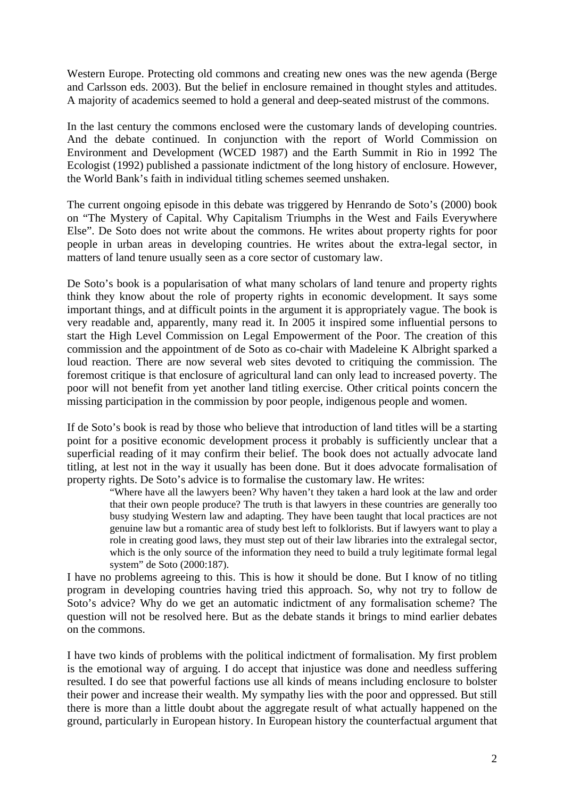Western Europe. Protecting old commons and creating new ones was the new agenda (Berge and Carlsson eds. 2003). But the belief in enclosure remained in thought styles and attitudes. A majority of academics seemed to hold a general and deep-seated mistrust of the commons.

In the last century the commons enclosed were the customary lands of developing countries. And the debate continued. In conjunction with the report of World Commission on Environment and Development (WCED 1987) and the Earth Summit in Rio in 1992 The Ecologist (1992) published a passionate indictment of the long history of enclosure. However, the World Bank's faith in individual titling schemes seemed unshaken.

The current ongoing episode in this debate was triggered by Henrando de Soto's (2000) book on "The Mystery of Capital. Why Capitalism Triumphs in the West and Fails Everywhere Else". De Soto does not write about the commons. He writes about property rights for poor people in urban areas in developing countries. He writes about the extra-legal sector, in matters of land tenure usually seen as a core sector of customary law.

De Soto's book is a popularisation of what many scholars of land tenure and property rights think they know about the role of property rights in economic development. It says some important things, and at difficult points in the argument it is appropriately vague. The book is very readable and, apparently, many read it. In 2005 it inspired some influential persons to start the High Level Commission on Legal Empowerment of the Poor. The creation of this commission and the appointment of de Soto as co-chair with Madeleine K Albright sparked a loud reaction. There are now several web sites devoted to critiquing the commission. The foremost critique is that enclosure of agricultural land can only lead to increased poverty. The poor will not benefit from yet another land titling exercise. Other critical points concern the missing participation in the commission by poor people, indigenous people and women.

If de Soto's book is read by those who believe that introduction of land titles will be a starting point for a positive economic development process it probably is sufficiently unclear that a superficial reading of it may confirm their belief. The book does not actually advocate land titling, at lest not in the way it usually has been done. But it does advocate formalisation of property rights. De Soto's advice is to formalise the customary law. He writes:

"Where have all the lawyers been? Why haven't they taken a hard look at the law and order that their own people produce? The truth is that lawyers in these countries are generally too busy studying Western law and adapting. They have been taught that local practices are not genuine law but a romantic area of study best left to folklorists. But if lawyers want to play a role in creating good laws, they must step out of their law libraries into the extralegal sector, which is the only source of the information they need to build a truly legitimate formal legal system" de Soto (2000:187).

I have no problems agreeing to this. This is how it should be done. But I know of no titling program in developing countries having tried this approach. So, why not try to follow de Soto's advice? Why do we get an automatic indictment of any formalisation scheme? The question will not be resolved here. But as the debate stands it brings to mind earlier debates on the commons.

I have two kinds of problems with the political indictment of formalisation. My first problem is the emotional way of arguing. I do accept that injustice was done and needless suffering resulted. I do see that powerful factions use all kinds of means including enclosure to bolster their power and increase their wealth. My sympathy lies with the poor and oppressed. But still there is more than a little doubt about the aggregate result of what actually happened on the ground, particularly in European history. In European history the counterfactual argument that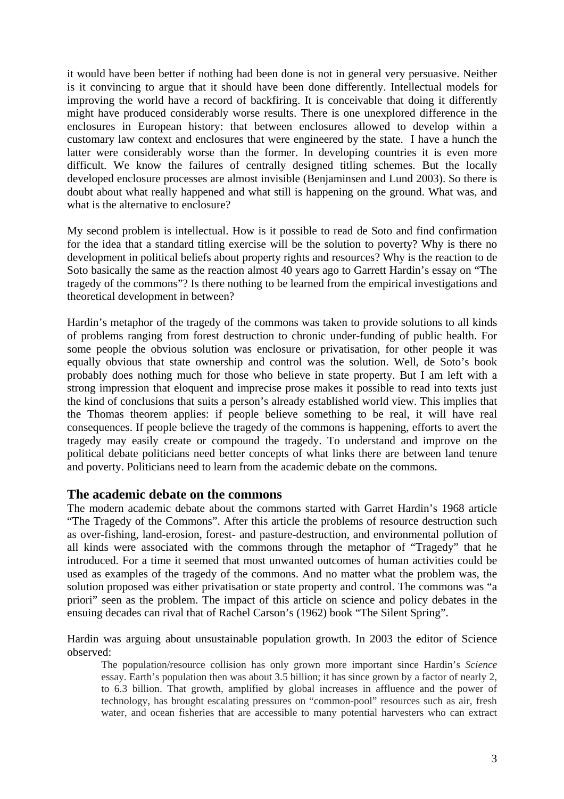it would have been better if nothing had been done is not in general very persuasive. Neither is it convincing to argue that it should have been done differently. Intellectual models for improving the world have a record of backfiring. It is conceivable that doing it differently might have produced considerably worse results. There is one unexplored difference in the enclosures in European history: that between enclosures allowed to develop within a customary law context and enclosures that were engineered by the state. I have a hunch the latter were considerably worse than the former. In developing countries it is even more difficult. We know the failures of centrally designed titling schemes. But the locally developed enclosure processes are almost invisible (Benjaminsen and Lund 2003). So there is doubt about what really happened and what still is happening on the ground. What was, and what is the alternative to enclosure?

My second problem is intellectual. How is it possible to read de Soto and find confirmation for the idea that a standard titling exercise will be the solution to poverty? Why is there no development in political beliefs about property rights and resources? Why is the reaction to de Soto basically the same as the reaction almost 40 years ago to Garrett Hardin's essay on "The tragedy of the commons"? Is there nothing to be learned from the empirical investigations and theoretical development in between?

Hardin's metaphor of the tragedy of the commons was taken to provide solutions to all kinds of problems ranging from forest destruction to chronic under-funding of public health. For some people the obvious solution was enclosure or privatisation, for other people it was equally obvious that state ownership and control was the solution. Well, de Soto's book probably does nothing much for those who believe in state property. But I am left with a strong impression that eloquent and imprecise prose makes it possible to read into texts just the kind of conclusions that suits a person's already established world view. This implies that the Thomas theorem applies: if people believe something to be real, it will have real consequences. If people believe the tragedy of the commons is happening, efforts to avert the tragedy may easily create or compound the tragedy. To understand and improve on the political debate politicians need better concepts of what links there are between land tenure and poverty. Politicians need to learn from the academic debate on the commons.

## **The academic debate on the commons**

The modern academic debate about the commons started with Garret Hardin's 1968 article "The Tragedy of the Commons". After this article the problems of resource destruction such as over-fishing, land-erosion, forest- and pasture-destruction, and environmental pollution of all kinds were associated with the commons through the metaphor of "Tragedy" that he introduced. For a time it seemed that most unwanted outcomes of human activities could be used as examples of the tragedy of the commons. And no matter what the problem was, the solution proposed was either privatisation or state property and control. The commons was "a priori" seen as the problem. The impact of this article on science and policy debates in the ensuing decades can rival that of Rachel Carson's (1962) book "The Silent Spring".

Hardin was arguing about unsustainable population growth. In 2003 the editor of Science observed:

The population/resource collision has only grown more important since Hardin's *Science*  essay. Earth's population then was about 3.5 billion; it has since grown by a factor of nearly 2, to 6.3 billion. That growth, amplified by global increases in affluence and the power of technology, has brought escalating pressures on "common-pool" resources such as air, fresh water, and ocean fisheries that are accessible to many potential harvesters who can extract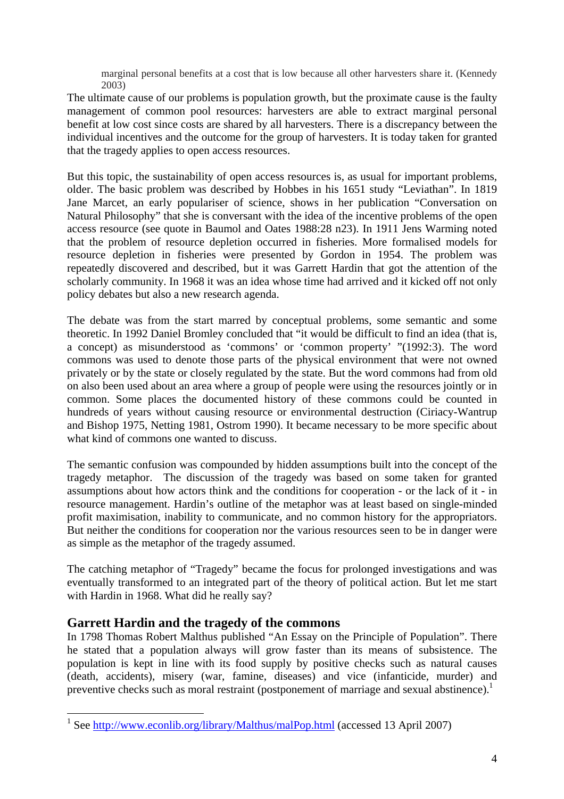marginal personal benefits at a cost that is low because all other harvesters share it. (Kennedy 2003)

The ultimate cause of our problems is population growth, but the proximate cause is the faulty management of common pool resources: harvesters are able to extract marginal personal benefit at low cost since costs are shared by all harvesters. There is a discrepancy between the individual incentives and the outcome for the group of harvesters. It is today taken for granted that the tragedy applies to open access resources.

But this topic, the sustainability of open access resources is, as usual for important problems, older. The basic problem was described by Hobbes in his 1651 study "Leviathan". In 1819 Jane Marcet, an early populariser of science, shows in her publication "Conversation on Natural Philosophy" that she is conversant with the idea of the incentive problems of the open access resource (see quote in Baumol and Oates 1988:28 n23). In 1911 Jens Warming noted that the problem of resource depletion occurred in fisheries. More formalised models for resource depletion in fisheries were presented by Gordon in 1954. The problem was repeatedly discovered and described, but it was Garrett Hardin that got the attention of the scholarly community. In 1968 it was an idea whose time had arrived and it kicked off not only policy debates but also a new research agenda.

The debate was from the start marred by conceptual problems, some semantic and some theoretic. In 1992 Daniel Bromley concluded that "it would be difficult to find an idea (that is, a concept) as misunderstood as 'commons' or 'common property' "(1992:3). The word commons was used to denote those parts of the physical environment that were not owned privately or by the state or closely regulated by the state. But the word commons had from old on also been used about an area where a group of people were using the resources jointly or in common. Some places the documented history of these commons could be counted in hundreds of years without causing resource or environmental destruction (Ciriacy-Wantrup and Bishop 1975, Netting 1981, Ostrom 1990). It became necessary to be more specific about what kind of commons one wanted to discuss.

The semantic confusion was compounded by hidden assumptions built into the concept of the tragedy metaphor. The discussion of the tragedy was based on some taken for granted assumptions about how actors think and the conditions for cooperation - or the lack of it - in resource management. Hardin's outline of the metaphor was at least based on single-minded profit maximisation, inability to communicate, and no common history for the appropriators. But neither the conditions for cooperation nor the various resources seen to be in danger were as simple as the metaphor of the tragedy assumed.

The catching metaphor of "Tragedy" became the focus for prolonged investigations and was eventually transformed to an integrated part of the theory of political action. But let me start with Hardin in 1968. What did he really say?

## **Garrett Hardin and the tragedy of the commons**

In 1798 Thomas Robert Malthus published "An Essay on the Principle of Population". There he stated that a population always will grow faster than its means of subsistence. The population is kept in line with its food supply by positive checks such as natural causes (death, accidents), misery (war, famine, diseases) and vice (infanticide, murder) and preventive checks such as moral restraint (postponement of marriage and sexual abstinence).<sup>1</sup>

<sup>1&</sup>lt;br>
<sup>1</sup> See http://www.econlib.org/library/Malthus/malPop.html (accessed 13 April 2007)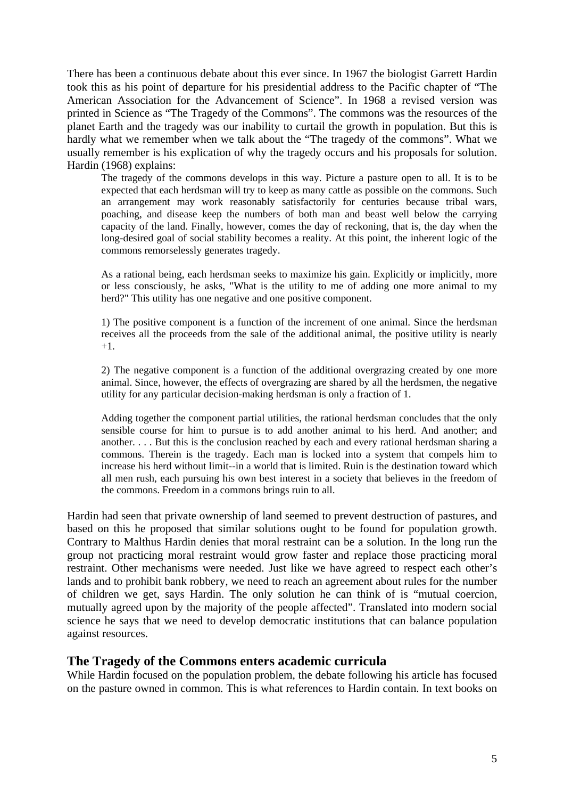There has been a continuous debate about this ever since. In 1967 the biologist Garrett Hardin took this as his point of departure for his presidential address to the Pacific chapter of "The American Association for the Advancement of Science". In 1968 a revised version was printed in Science as "The Tragedy of the Commons". The commons was the resources of the planet Earth and the tragedy was our inability to curtail the growth in population. But this is hardly what we remember when we talk about the "The tragedy of the commons". What we usually remember is his explication of why the tragedy occurs and his proposals for solution. Hardin (1968) explains:

The tragedy of the commons develops in this way. Picture a pasture open to all. It is to be expected that each herdsman will try to keep as many cattle as possible on the commons. Such an arrangement may work reasonably satisfactorily for centuries because tribal wars, poaching, and disease keep the numbers of both man and beast well below the carrying capacity of the land. Finally, however, comes the day of reckoning, that is, the day when the long-desired goal of social stability becomes a reality. At this point, the inherent logic of the commons remorselessly generates tragedy.

As a rational being, each herdsman seeks to maximize his gain. Explicitly or implicitly, more or less consciously, he asks, "What is the utility to me of adding one more animal to my herd?" This utility has one negative and one positive component.

1) The positive component is a function of the increment of one animal. Since the herdsman receives all the proceeds from the sale of the additional animal, the positive utility is nearly  $+1.$ 

2) The negative component is a function of the additional overgrazing created by one more animal. Since, however, the effects of overgrazing are shared by all the herdsmen, the negative utility for any particular decision-making herdsman is only a fraction of 1.

Adding together the component partial utilities, the rational herdsman concludes that the only sensible course for him to pursue is to add another animal to his herd. And another; and another. . . . But this is the conclusion reached by each and every rational herdsman sharing a commons. Therein is the tragedy. Each man is locked into a system that compels him to increase his herd without limit--in a world that is limited. Ruin is the destination toward which all men rush, each pursuing his own best interest in a society that believes in the freedom of the commons. Freedom in a commons brings ruin to all.

Hardin had seen that private ownership of land seemed to prevent destruction of pastures, and based on this he proposed that similar solutions ought to be found for population growth. Contrary to Malthus Hardin denies that moral restraint can be a solution. In the long run the group not practicing moral restraint would grow faster and replace those practicing moral restraint. Other mechanisms were needed. Just like we have agreed to respect each other's lands and to prohibit bank robbery, we need to reach an agreement about rules for the number of children we get, says Hardin. The only solution he can think of is "mutual coercion, mutually agreed upon by the majority of the people affected". Translated into modern social science he says that we need to develop democratic institutions that can balance population against resources.

## **The Tragedy of the Commons enters academic curricula**

While Hardin focused on the population problem, the debate following his article has focused on the pasture owned in common. This is what references to Hardin contain. In text books on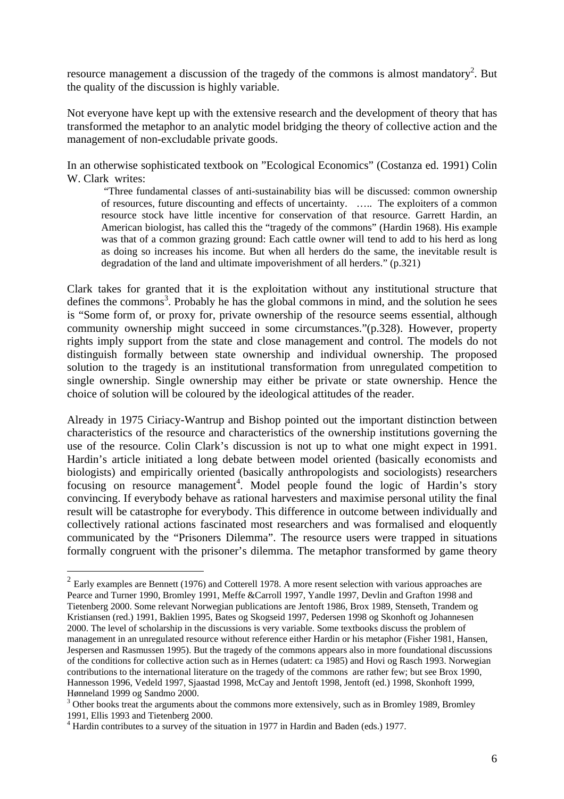resource management a discussion of the tragedy of the commons is almost mandatory<sup>2</sup>. But the quality of the discussion is highly variable.

Not everyone have kept up with the extensive research and the development of theory that has transformed the metaphor to an analytic model bridging the theory of collective action and the management of non-excludable private goods.

In an otherwise sophisticated textbook on "Ecological Economics" (Costanza ed. 1991) Colin W. Clark writes:

 "Three fundamental classes of anti-sustainability bias will be discussed: common ownership of resources, future discounting and effects of uncertainty. ….. The exploiters of a common resource stock have little incentive for conservation of that resource. Garrett Hardin, an American biologist, has called this the "tragedy of the commons" (Hardin 1968). His example was that of a common grazing ground: Each cattle owner will tend to add to his herd as long as doing so increases his income. But when all herders do the same, the inevitable result is degradation of the land and ultimate impoverishment of all herders." (p.321)

Clark takes for granted that it is the exploitation without any institutional structure that defines the commons<sup>3</sup>. Probably he has the global commons in mind, and the solution he sees is "Some form of, or proxy for, private ownership of the resource seems essential, although community ownership might succeed in some circumstances."(p.328). However, property rights imply support from the state and close management and control. The models do not distinguish formally between state ownership and individual ownership. The proposed solution to the tragedy is an institutional transformation from unregulated competition to single ownership. Single ownership may either be private or state ownership. Hence the choice of solution will be coloured by the ideological attitudes of the reader.

Already in 1975 Ciriacy-Wantrup and Bishop pointed out the important distinction between characteristics of the resource and characteristics of the ownership institutions governing the use of the resource. Colin Clark's discussion is not up to what one might expect in 1991. Hardin's article initiated a long debate between model oriented (basically economists and biologists) and empirically oriented (basically anthropologists and sociologists) researchers focusing on resource management<sup>4</sup>. Model people found the logic of Hardin's story convincing. If everybody behave as rational harvesters and maximise personal utility the final result will be catastrophe for everybody. This difference in outcome between individually and collectively rational actions fascinated most researchers and was formalised and eloquently communicated by the "Prisoners Dilemma". The resource users were trapped in situations formally congruent with the prisoner's dilemma. The metaphor transformed by game theory

<u>.</u>

 $2$  Early examples are Bennett (1976) and Cotterell 1978. A more resent selection with various approaches are Pearce and Turner 1990, Bromley 1991, Meffe &Carroll 1997, Yandle 1997, Devlin and Grafton 1998 and Tietenberg 2000. Some relevant Norwegian publications are Jentoft 1986, Brox 1989, Stenseth, Trandem og Kristiansen (red.) 1991, Baklien 1995, Bates og Skogseid 1997, Pedersen 1998 og Skonhoft og Johannesen 2000. The level of scholarship in the discussions is very variable. Some textbooks discuss the problem of management in an unregulated resource without reference either Hardin or his metaphor (Fisher 1981, Hansen, Jespersen and Rasmussen 1995). But the tragedy of the commons appears also in more foundational discussions of the conditions for collective action such as in Hernes (udatert: ca 1985) and Hovi og Rasch 1993. Norwegian contributions to the international literature on the tragedy of the commons are rather few; but see Brox 1990, Hannesson 1996, Vedeld 1997, Sjaastad 1998, McCay and Jentoft 1998, Jentoft (ed.) 1998, Skonhoft 1999, Hønneland 1999 og Sandmo 2000.

<sup>&</sup>lt;sup>3</sup> Other books treat the arguments about the commons more extensively, such as in Bromley 1989, Bromley 1991, Ellis 1993 and Tietenberg 2000.

<sup>&</sup>lt;sup>4</sup> Hardin contributes to a survey of the situation in 1977 in Hardin and Baden (eds.) 1977.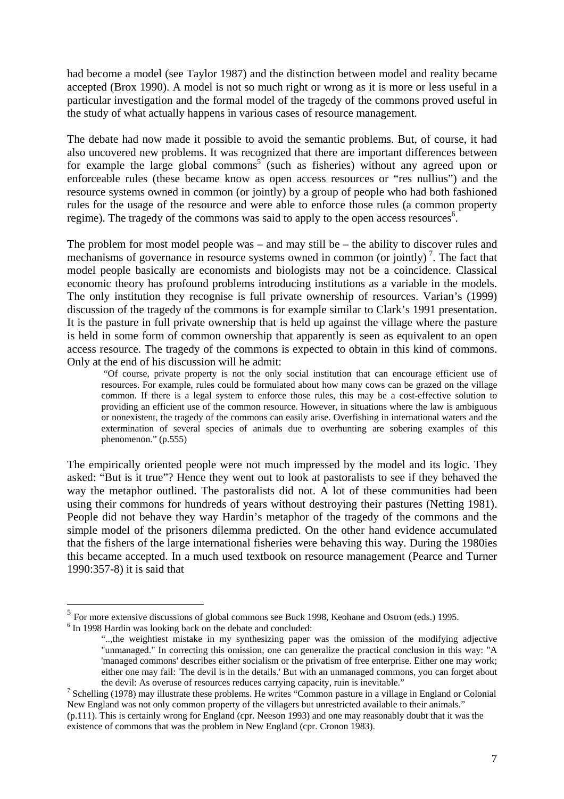had become a model (see Taylor 1987) and the distinction between model and reality became accepted (Brox 1990). A model is not so much right or wrong as it is more or less useful in a particular investigation and the formal model of the tragedy of the commons proved useful in the study of what actually happens in various cases of resource management.

The debate had now made it possible to avoid the semantic problems. But, of course, it had also uncovered new problems. It was recognized that there are important differences between for example the large global commons<sup>5</sup> (such as fisheries) without any agreed upon or enforceable rules (these became know as open access resources or "res nullius") and the resource systems owned in common (or jointly) by a group of people who had both fashioned rules for the usage of the resource and were able to enforce those rules (a common property regime). The tragedy of the commons was said to apply to the open access resources<sup>6</sup>.

The problem for most model people was – and may still be – the ability to discover rules and mechanisms of governance in resource systems owned in common (or jointly)<sup>7</sup>. The fact that model people basically are economists and biologists may not be a coincidence. Classical economic theory has profound problems introducing institutions as a variable in the models. The only institution they recognise is full private ownership of resources. Varian's (1999) discussion of the tragedy of the commons is for example similar to Clark's 1991 presentation. It is the pasture in full private ownership that is held up against the village where the pasture is held in some form of common ownership that apparently is seen as equivalent to an open access resource. The tragedy of the commons is expected to obtain in this kind of commons. Only at the end of his discussion will he admit:

 "Of course, private property is not the only social institution that can encourage efficient use of resources. For example, rules could be formulated about how many cows can be grazed on the village common. If there is a legal system to enforce those rules, this may be a cost-effective solution to providing an efficient use of the common resource. However, in situations where the law is ambiguous or nonexistent, the tragedy of the commons can easily arise. Overfishing in international waters and the extermination of several species of animals due to overhunting are sobering examples of this phenomenon." (p.555)

The empirically oriented people were not much impressed by the model and its logic. They asked: "But is it true"? Hence they went out to look at pastoralists to see if they behaved the way the metaphor outlined. The pastoralists did not. A lot of these communities had been using their commons for hundreds of years without destroying their pastures (Netting 1981). People did not behave they way Hardin's metaphor of the tragedy of the commons and the simple model of the prisoners dilemma predicted. On the other hand evidence accumulated that the fishers of the large international fisheries were behaving this way. During the 1980ies this became accepted. In a much used textbook on resource management (Pearce and Turner 1990:357-8) it is said that

1

<sup>5</sup> For more extensive discussions of global commons see Buck 1998, Keohane and Ostrom (eds.) 1995.

<sup>&</sup>lt;sup>6</sup> In 1998 Hardin was looking back on the debate and concluded:

<sup>&</sup>quot;..,the weightiest mistake in my synthesizing paper was the omission of the modifying adjective "unmanaged." In correcting this omission, one can generalize the practical conclusion in this way: "A 'managed commons' describes either socialism or the privatism of free enterprise. Either one may work; either one may fail: 'The devil is in the details.' But with an unmanaged commons, you can forget about the devil: As overuse of resources reduces carrying capacity, ruin is inevitable." 7

<sup>&</sup>lt;sup>7</sup> Schelling (1978) may illustrate these problems. He writes "Common pasture in a village in England or Colonial New England was not only common property of the villagers but unrestricted available to their animals."

<sup>(</sup>p.111). This is certainly wrong for England (cpr. Neeson 1993) and one may reasonably doubt that it was the existence of commons that was the problem in New England (cpr. Cronon 1983).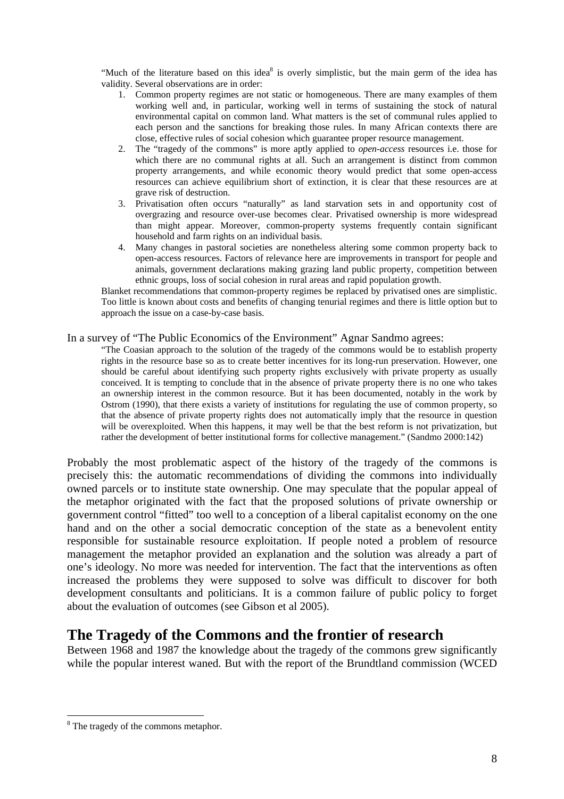"Much of the literature based on this idea<sup>8</sup> is overly simplistic, but the main germ of the idea has validity. Several observations are in order:

- 1. Common property regimes are not static or homogeneous. There are many examples of them working well and, in particular, working well in terms of sustaining the stock of natural environmental capital on common land. What matters is the set of communal rules applied to each person and the sanctions for breaking those rules. In many African contexts there are close, effective rules of social cohesion which guarantee proper resource management.
- 2. The "tragedy of the commons" is more aptly applied to *open-access* resources i.e. those for which there are no communal rights at all. Such an arrangement is distinct from common property arrangements, and while economic theory would predict that some open-access resources can achieve equilibrium short of extinction, it is clear that these resources are at grave risk of destruction.
- 3. Privatisation often occurs "naturally" as land starvation sets in and opportunity cost of overgrazing and resource over-use becomes clear. Privatised ownership is more widespread than might appear. Moreover, common-property systems frequently contain significant household and farm rights on an individual basis.
- 4. Many changes in pastoral societies are nonetheless altering some common property back to open-access resources. Factors of relevance here are improvements in transport for people and animals, government declarations making grazing land public property, competition between ethnic groups, loss of social cohesion in rural areas and rapid population growth.

Blanket recommendations that common-property regimes be replaced by privatised ones are simplistic. Too little is known about costs and benefits of changing tenurial regimes and there is little option but to approach the issue on a case-by-case basis.

In a survey of "The Public Economics of the Environment" Agnar Sandmo agrees:

"The Coasian approach to the solution of the tragedy of the commons would be to establish property rights in the resource base so as to create better incentives for its long-run preservation. However, one should be careful about identifying such property rights exclusively with private property as usually conceived. It is tempting to conclude that in the absence of private property there is no one who takes an ownership interest in the common resource. But it has been documented, notably in the work by Ostrom (1990), that there exists a variety of institutions for regulating the use of common property, so that the absence of private property rights does not automatically imply that the resource in question will be overexploited. When this happens, it may well be that the best reform is not privatization, but rather the development of better institutional forms for collective management." (Sandmo 2000:142)

Probably the most problematic aspect of the history of the tragedy of the commons is precisely this: the automatic recommendations of dividing the commons into individually owned parcels or to institute state ownership. One may speculate that the popular appeal of the metaphor originated with the fact that the proposed solutions of private ownership or government control "fitted" too well to a conception of a liberal capitalist economy on the one hand and on the other a social democratic conception of the state as a benevolent entity responsible for sustainable resource exploitation. If people noted a problem of resource management the metaphor provided an explanation and the solution was already a part of one's ideology. No more was needed for intervention. The fact that the interventions as often increased the problems they were supposed to solve was difficult to discover for both development consultants and politicians. It is a common failure of public policy to forget about the evaluation of outcomes (see Gibson et al 2005).

## **The Tragedy of the Commons and the frontier of research**

Between 1968 and 1987 the knowledge about the tragedy of the commons grew significantly while the popular interest waned. But with the report of the Brundtland commission (WCED

1

<sup>&</sup>lt;sup>8</sup> The tragedy of the commons metaphor.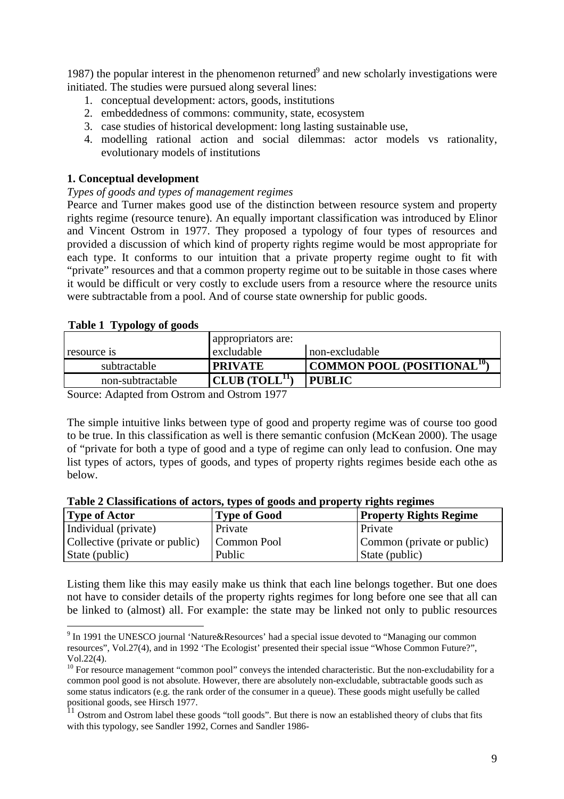1987) the popular interest in the phenomenon returned $9$  and new scholarly investigations were initiated. The studies were pursued along several lines:

- 1. conceptual development: actors, goods, institutions
- 2. embeddedness of commons: community, state, ecosystem
- 3. case studies of historical development: long lasting sustainable use,
- 4. modelling rational action and social dilemmas: actor models vs rationality, evolutionary models of institutions

## **1. Conceptual development**

#### *Types of goods and types of management regimes*

Pearce and Turner makes good use of the distinction between resource system and property rights regime (resource tenure). An equally important classification was introduced by Elinor and Vincent Ostrom in 1977. They proposed a typology of four types of resources and provided a discussion of which kind of property rights regime would be most appropriate for each type. It conforms to our intuition that a private property regime ought to fit with "private" resources and that a common property regime out to be suitable in those cases where it would be difficult or very costly to exclude users from a resource where the resource units were subtractable from a pool. And of course state ownership for public goods.

|                  | appropriators are:                  |                                                 |  |
|------------------|-------------------------------------|-------------------------------------------------|--|
| resource is      | excludable                          | non-excludable                                  |  |
| subtractable     | <b>PRIVATE</b>                      | $\vert$ COMMON POOL (POSITIONAL <sup>10</sup> ) |  |
| non-subtractable | $\text{CLUB}$ (TOLL <sup>11</sup> ) | <b>PUBLIC</b>                                   |  |

#### **Table 1 Typology of goods**

1

Source: Adapted from Ostrom and Ostrom 1977

The simple intuitive links between type of good and property regime was of course too good to be true. In this classification as well is there semantic confusion (McKean 2000). The usage of "private for both a type of good and a type of regime can only lead to confusion. One may list types of actors, types of goods, and types of property rights regimes beside each othe as below.

#### **Table 2 Classifications of actors, types of goods and property rights regimes**

| <b>Type of Actor</b>           | <b>Type of Good</b> | <b>Property Rights Regime</b> |
|--------------------------------|---------------------|-------------------------------|
| Individual (private)           | Private             | Private                       |
| Collective (private or public) | Common Pool         | Common (private or public)    |
| State (public)                 | Public              | State (public)                |

Listing them like this may easily make us think that each line belongs together. But one does not have to consider details of the property rights regimes for long before one see that all can be linked to (almost) all. For example: the state may be linked not only to public resources

<sup>&</sup>lt;sup>9</sup> In 1991 the UNESCO journal 'Nature&Resources' had a special issue devoted to "Managing our common resources", Vol.27(4), and in 1992 'The Ecologist' presented their special issue "Whose Common Future?", Vol.22(4).

<sup>&</sup>lt;sup>10</sup> For resource management "common pool" conveys the intended characteristic. But the non-excludability for a common pool good is not absolute. However, there are absolutely non-excludable, subtractable goods such as some status indicators (e.g. the rank order of the consumer in a queue). These goods might usefully be called positional goods, see Hirsch 1977.

 $11$  Ostrom and Ostrom label these goods "toll goods". But there is now an established theory of clubs that fits with this typology, see Sandler 1992, Cornes and Sandler 1986-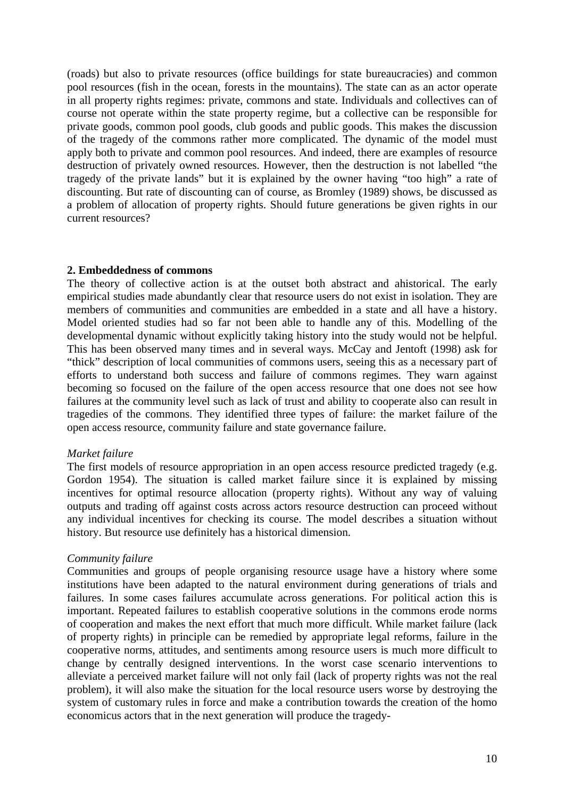(roads) but also to private resources (office buildings for state bureaucracies) and common pool resources (fish in the ocean, forests in the mountains). The state can as an actor operate in all property rights regimes: private, commons and state. Individuals and collectives can of course not operate within the state property regime, but a collective can be responsible for private goods, common pool goods, club goods and public goods. This makes the discussion of the tragedy of the commons rather more complicated. The dynamic of the model must apply both to private and common pool resources. And indeed, there are examples of resource destruction of privately owned resources. However, then the destruction is not labelled "the tragedy of the private lands" but it is explained by the owner having "too high" a rate of discounting. But rate of discounting can of course, as Bromley (1989) shows, be discussed as a problem of allocation of property rights. Should future generations be given rights in our current resources?

#### **2. Embeddedness of commons**

The theory of collective action is at the outset both abstract and ahistorical. The early empirical studies made abundantly clear that resource users do not exist in isolation. They are members of communities and communities are embedded in a state and all have a history. Model oriented studies had so far not been able to handle any of this. Modelling of the developmental dynamic without explicitly taking history into the study would not be helpful. This has been observed many times and in several ways. McCay and Jentoft (1998) ask for "thick" description of local communities of commons users, seeing this as a necessary part of efforts to understand both success and failure of commons regimes. They warn against becoming so focused on the failure of the open access resource that one does not see how failures at the community level such as lack of trust and ability to cooperate also can result in tragedies of the commons. They identified three types of failure: the market failure of the open access resource, community failure and state governance failure.

#### *Market failure*

The first models of resource appropriation in an open access resource predicted tragedy (e.g. Gordon 1954). The situation is called market failure since it is explained by missing incentives for optimal resource allocation (property rights). Without any way of valuing outputs and trading off against costs across actors resource destruction can proceed without any individual incentives for checking its course. The model describes a situation without history. But resource use definitely has a historical dimension.

#### *Community failure*

Communities and groups of people organising resource usage have a history where some institutions have been adapted to the natural environment during generations of trials and failures. In some cases failures accumulate across generations. For political action this is important. Repeated failures to establish cooperative solutions in the commons erode norms of cooperation and makes the next effort that much more difficult. While market failure (lack of property rights) in principle can be remedied by appropriate legal reforms, failure in the cooperative norms, attitudes, and sentiments among resource users is much more difficult to change by centrally designed interventions. In the worst case scenario interventions to alleviate a perceived market failure will not only fail (lack of property rights was not the real problem), it will also make the situation for the local resource users worse by destroying the system of customary rules in force and make a contribution towards the creation of the homo economicus actors that in the next generation will produce the tragedy-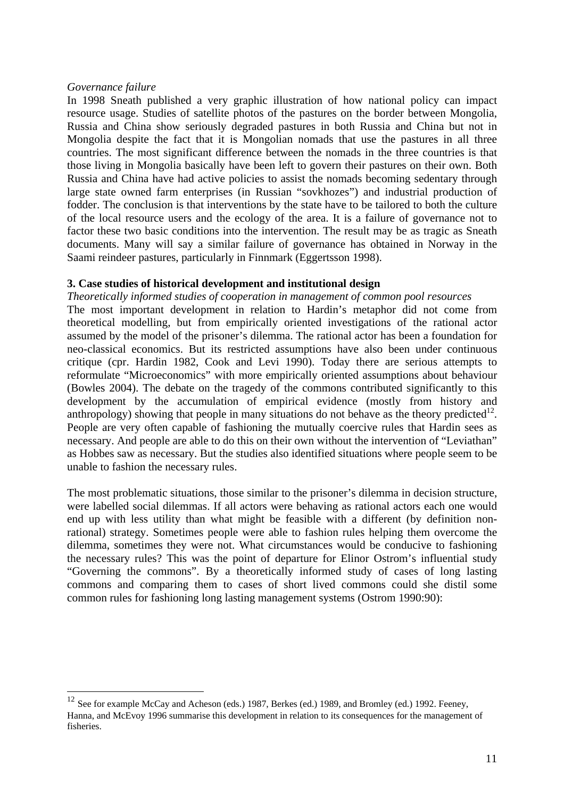#### *Governance failure*

1

In 1998 Sneath published a very graphic illustration of how national policy can impact resource usage. Studies of satellite photos of the pastures on the border between Mongolia, Russia and China show seriously degraded pastures in both Russia and China but not in Mongolia despite the fact that it is Mongolian nomads that use the pastures in all three countries. The most significant difference between the nomads in the three countries is that those living in Mongolia basically have been left to govern their pastures on their own. Both Russia and China have had active policies to assist the nomads becoming sedentary through large state owned farm enterprises (in Russian "sovkhozes") and industrial production of fodder. The conclusion is that interventions by the state have to be tailored to both the culture of the local resource users and the ecology of the area. It is a failure of governance not to factor these two basic conditions into the intervention. The result may be as tragic as Sneath documents. Many will say a similar failure of governance has obtained in Norway in the Saami reindeer pastures, particularly in Finnmark (Eggertsson 1998).

#### **3. Case studies of historical development and institutional design**

*Theoretically informed studies of cooperation in management of common pool resources*  The most important development in relation to Hardin's metaphor did not come from theoretical modelling, but from empirically oriented investigations of the rational actor assumed by the model of the prisoner's dilemma. The rational actor has been a foundation for neo-classical economics. But its restricted assumptions have also been under continuous critique (cpr. Hardin 1982, Cook and Levi 1990). Today there are serious attempts to reformulate "Microeconomics" with more empirically oriented assumptions about behaviour (Bowles 2004). The debate on the tragedy of the commons contributed significantly to this development by the accumulation of empirical evidence (mostly from history and anthropology) showing that people in many situations do not behave as the theory predicted<sup>12</sup>. People are very often capable of fashioning the mutually coercive rules that Hardin sees as necessary. And people are able to do this on their own without the intervention of "Leviathan" as Hobbes saw as necessary. But the studies also identified situations where people seem to be unable to fashion the necessary rules.

The most problematic situations, those similar to the prisoner's dilemma in decision structure, were labelled social dilemmas. If all actors were behaving as rational actors each one would end up with less utility than what might be feasible with a different (by definition nonrational) strategy. Sometimes people were able to fashion rules helping them overcome the dilemma, sometimes they were not. What circumstances would be conducive to fashioning the necessary rules? This was the point of departure for Elinor Ostrom's influential study "Governing the commons". By a theoretically informed study of cases of long lasting commons and comparing them to cases of short lived commons could she distil some common rules for fashioning long lasting management systems (Ostrom 1990:90):

<sup>&</sup>lt;sup>12</sup> See for example McCay and Acheson (eds.) 1987, Berkes (ed.) 1989, and Bromley (ed.) 1992. Feeney, Hanna, and McEvoy 1996 summarise this development in relation to its consequences for the management of fisheries.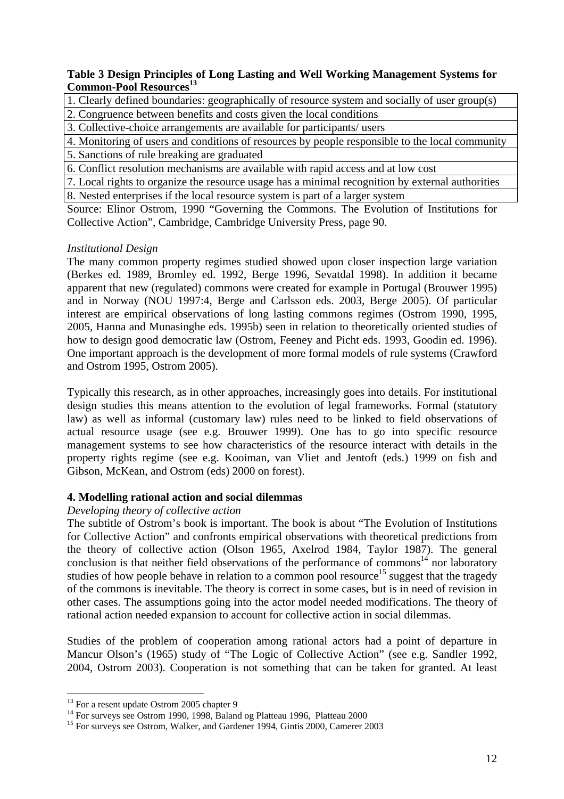### **Table 3 Design Principles of Long Lasting and Well Working Management Systems for Common-Pool Resources<sup>13</sup>**

1. Clearly defined boundaries: geographically of resource system and socially of user group(s)

2. Congruence between benefits and costs given the local conditions

3. Collective-choice arrangements are available for participants/ users

4. Monitoring of users and conditions of resources by people responsible to the local community 5. Sanctions of rule breaking are graduated

6. Conflict resolution mechanisms are available with rapid access and at low cost

7. Local rights to organize the resource usage has a minimal recognition by external authorities

8. Nested enterprises if the local resource system is part of a larger system

Source: Elinor Ostrom, 1990 "Governing the Commons. The Evolution of Institutions for Collective Action", Cambridge, Cambridge University Press, page 90.

## *Institutional Design*

The many common property regimes studied showed upon closer inspection large variation (Berkes ed. 1989, Bromley ed. 1992, Berge 1996, Sevatdal 1998). In addition it became apparent that new (regulated) commons were created for example in Portugal (Brouwer 1995) and in Norway (NOU 1997:4, Berge and Carlsson eds. 2003, Berge 2005). Of particular interest are empirical observations of long lasting commons regimes (Ostrom 1990, 1995, 2005, Hanna and Munasinghe eds. 1995b) seen in relation to theoretically oriented studies of how to design good democratic law (Ostrom, Feeney and Picht eds. 1993, Goodin ed. 1996). One important approach is the development of more formal models of rule systems (Crawford and Ostrom 1995, Ostrom 2005).

Typically this research, as in other approaches, increasingly goes into details. For institutional design studies this means attention to the evolution of legal frameworks. Formal (statutory law) as well as informal (customary law) rules need to be linked to field observations of actual resource usage (see e.g. Brouwer 1999). One has to go into specific resource management systems to see how characteristics of the resource interact with details in the property rights regime (see e.g. Kooiman, van Vliet and Jentoft (eds.) 1999 on fish and Gibson, McKean, and Ostrom (eds) 2000 on forest).

## **4. Modelling rational action and social dilemmas**

#### *Developing theory of collective action*

The subtitle of Ostrom's book is important. The book is about "The Evolution of Institutions for Collective Action" and confronts empirical observations with theoretical predictions from the theory of collective action (Olson 1965, Axelrod 1984, Taylor 1987). The general conclusion is that neither field observations of the performance of commons $14$  nor laboratory studies of how people behave in relation to a common pool resource<sup>15</sup> suggest that the tragedy of the commons is inevitable. The theory is correct in some cases, but is in need of revision in other cases. The assumptions going into the actor model needed modifications. The theory of rational action needed expansion to account for collective action in social dilemmas.

Studies of the problem of cooperation among rational actors had a point of departure in Mancur Olson's (1965) study of "The Logic of Collective Action" (see e.g. Sandler 1992, 2004, Ostrom 2003). Cooperation is not something that can be taken for granted. At least

1

<sup>&</sup>lt;sup>13</sup> For a resent update Ostrom 2005 chapter 9

<sup>&</sup>lt;sup>14</sup> For surveys see Ostrom 1990, 1998, Baland og Platteau 1996, Platteau 2000

<sup>&</sup>lt;sup>15</sup> For surveys see Ostrom, Walker, and Gardener 1994, Gintis 2000, Camerer 2003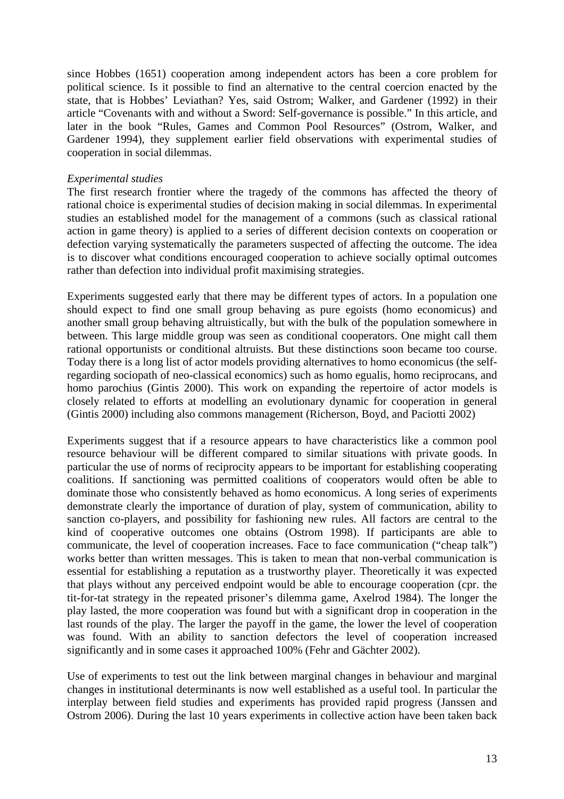since Hobbes (1651) cooperation among independent actors has been a core problem for political science. Is it possible to find an alternative to the central coercion enacted by the state, that is Hobbes' Leviathan? Yes, said Ostrom; Walker, and Gardener (1992) in their article "Covenants with and without a Sword: Self-governance is possible." In this article, and later in the book "Rules, Games and Common Pool Resources" (Ostrom, Walker, and Gardener 1994), they supplement earlier field observations with experimental studies of cooperation in social dilemmas.

#### *Experimental studies*

The first research frontier where the tragedy of the commons has affected the theory of rational choice is experimental studies of decision making in social dilemmas. In experimental studies an established model for the management of a commons (such as classical rational action in game theory) is applied to a series of different decision contexts on cooperation or defection varying systematically the parameters suspected of affecting the outcome. The idea is to discover what conditions encouraged cooperation to achieve socially optimal outcomes rather than defection into individual profit maximising strategies.

Experiments suggested early that there may be different types of actors. In a population one should expect to find one small group behaving as pure egoists (homo economicus) and another small group behaving altruistically, but with the bulk of the population somewhere in between. This large middle group was seen as conditional cooperators. One might call them rational opportunists or conditional altruists. But these distinctions soon became too course. Today there is a long list of actor models providing alternatives to homo economicus (the selfregarding sociopath of neo-classical economics) such as homo egualis, homo reciprocans, and homo parochius (Gintis 2000). This work on expanding the repertoire of actor models is closely related to efforts at modelling an evolutionary dynamic for cooperation in general (Gintis 2000) including also commons management (Richerson, Boyd, and Paciotti 2002)

Experiments suggest that if a resource appears to have characteristics like a common pool resource behaviour will be different compared to similar situations with private goods. In particular the use of norms of reciprocity appears to be important for establishing cooperating coalitions. If sanctioning was permitted coalitions of cooperators would often be able to dominate those who consistently behaved as homo economicus. A long series of experiments demonstrate clearly the importance of duration of play, system of communication, ability to sanction co-players, and possibility for fashioning new rules. All factors are central to the kind of cooperative outcomes one obtains (Ostrom 1998). If participants are able to communicate, the level of cooperation increases. Face to face communication ("cheap talk") works better than written messages. This is taken to mean that non-verbal communication is essential for establishing a reputation as a trustworthy player. Theoretically it was expected that plays without any perceived endpoint would be able to encourage cooperation (cpr. the tit-for-tat strategy in the repeated prisoner's dilemma game, Axelrod 1984). The longer the play lasted, the more cooperation was found but with a significant drop in cooperation in the last rounds of the play. The larger the payoff in the game, the lower the level of cooperation was found. With an ability to sanction defectors the level of cooperation increased significantly and in some cases it approached 100% (Fehr and Gächter 2002).

Use of experiments to test out the link between marginal changes in behaviour and marginal changes in institutional determinants is now well established as a useful tool. In particular the interplay between field studies and experiments has provided rapid progress (Janssen and Ostrom 2006). During the last 10 years experiments in collective action have been taken back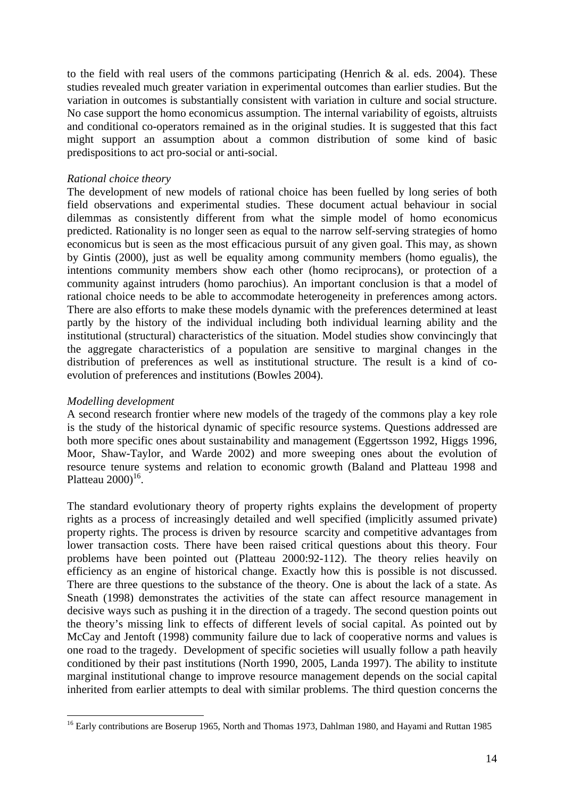to the field with real users of the commons participating (Henrich  $\&$  al. eds. 2004). These studies revealed much greater variation in experimental outcomes than earlier studies. But the variation in outcomes is substantially consistent with variation in culture and social structure. No case support the homo economicus assumption. The internal variability of egoists, altruists and conditional co-operators remained as in the original studies. It is suggested that this fact might support an assumption about a common distribution of some kind of basic predispositions to act pro-social or anti-social.

### *Rational choice theory*

The development of new models of rational choice has been fuelled by long series of both field observations and experimental studies. These document actual behaviour in social dilemmas as consistently different from what the simple model of homo economicus predicted. Rationality is no longer seen as equal to the narrow self-serving strategies of homo economicus but is seen as the most efficacious pursuit of any given goal. This may, as shown by Gintis (2000), just as well be equality among community members (homo egualis), the intentions community members show each other (homo reciprocans), or protection of a community against intruders (homo parochius). An important conclusion is that a model of rational choice needs to be able to accommodate heterogeneity in preferences among actors. There are also efforts to make these models dynamic with the preferences determined at least partly by the history of the individual including both individual learning ability and the institutional (structural) characteristics of the situation. Model studies show convincingly that the aggregate characteristics of a population are sensitive to marginal changes in the distribution of preferences as well as institutional structure. The result is a kind of coevolution of preferences and institutions (Bowles 2004).

#### *Modelling development*

A second research frontier where new models of the tragedy of the commons play a key role is the study of the historical dynamic of specific resource systems. Questions addressed are both more specific ones about sustainability and management (Eggertsson 1992, Higgs 1996, Moor, Shaw-Taylor, and Warde 2002) and more sweeping ones about the evolution of resource tenure systems and relation to economic growth (Baland and Platteau 1998 and Platteau  $2000$ <sup>16</sup>.

The standard evolutionary theory of property rights explains the development of property rights as a process of increasingly detailed and well specified (implicitly assumed private) property rights. The process is driven by resource scarcity and competitive advantages from lower transaction costs. There have been raised critical questions about this theory. Four problems have been pointed out (Platteau 2000:92-112). The theory relies heavily on efficiency as an engine of historical change. Exactly how this is possible is not discussed. There are three questions to the substance of the theory. One is about the lack of a state. As Sneath (1998) demonstrates the activities of the state can affect resource management in decisive ways such as pushing it in the direction of a tragedy. The second question points out the theory's missing link to effects of different levels of social capital. As pointed out by McCay and Jentoft (1998) community failure due to lack of cooperative norms and values is one road to the tragedy. Development of specific societies will usually follow a path heavily conditioned by their past institutions (North 1990, 2005, Landa 1997). The ability to institute marginal institutional change to improve resource management depends on the social capital inherited from earlier attempts to deal with similar problems. The third question concerns the

<sup>1</sup> <sup>16</sup> Early contributions are Boserup 1965, North and Thomas 1973, Dahlman 1980, and Hayami and Ruttan 1985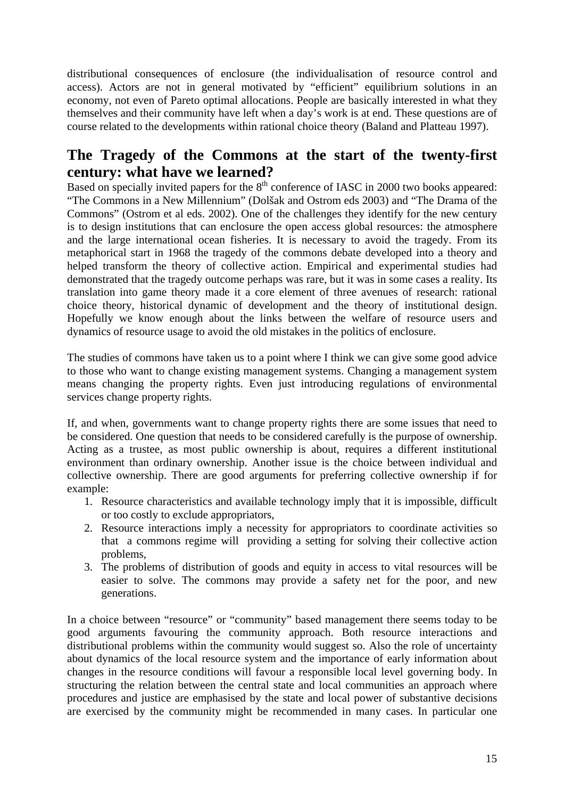distributional consequences of enclosure (the individualisation of resource control and access). Actors are not in general motivated by "efficient" equilibrium solutions in an economy, not even of Pareto optimal allocations. People are basically interested in what they themselves and their community have left when a day's work is at end. These questions are of course related to the developments within rational choice theory (Baland and Platteau 1997).

## **The Tragedy of the Commons at the start of the twenty-first century: what have we learned?**

Based on specially invited papers for the  $8<sup>th</sup>$  conference of IASC in 2000 two books appeared: "The Commons in a New Millennium" (Dolšak and Ostrom eds 2003) and "The Drama of the Commons" (Ostrom et al eds. 2002). One of the challenges they identify for the new century is to design institutions that can enclosure the open access global resources: the atmosphere and the large international ocean fisheries. It is necessary to avoid the tragedy. From its metaphorical start in 1968 the tragedy of the commons debate developed into a theory and helped transform the theory of collective action. Empirical and experimental studies had demonstrated that the tragedy outcome perhaps was rare, but it was in some cases a reality. Its translation into game theory made it a core element of three avenues of research: rational choice theory, historical dynamic of development and the theory of institutional design. Hopefully we know enough about the links between the welfare of resource users and dynamics of resource usage to avoid the old mistakes in the politics of enclosure.

The studies of commons have taken us to a point where I think we can give some good advice to those who want to change existing management systems. Changing a management system means changing the property rights. Even just introducing regulations of environmental services change property rights.

If, and when, governments want to change property rights there are some issues that need to be considered. One question that needs to be considered carefully is the purpose of ownership. Acting as a trustee, as most public ownership is about, requires a different institutional environment than ordinary ownership. Another issue is the choice between individual and collective ownership. There are good arguments for preferring collective ownership if for example:

- 1. Resource characteristics and available technology imply that it is impossible, difficult or too costly to exclude appropriators,
- 2. Resource interactions imply a necessity for appropriators to coordinate activities so that a commons regime will providing a setting for solving their collective action problems,
- 3. The problems of distribution of goods and equity in access to vital resources will be easier to solve. The commons may provide a safety net for the poor, and new generations.

In a choice between "resource" or "community" based management there seems today to be good arguments favouring the community approach. Both resource interactions and distributional problems within the community would suggest so. Also the role of uncertainty about dynamics of the local resource system and the importance of early information about changes in the resource conditions will favour a responsible local level governing body. In structuring the relation between the central state and local communities an approach where procedures and justice are emphasised by the state and local power of substantive decisions are exercised by the community might be recommended in many cases. In particular one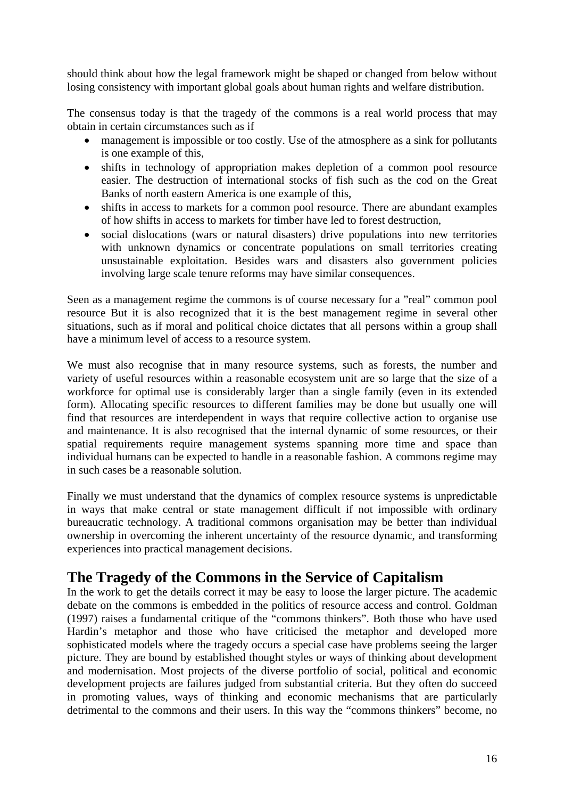should think about how the legal framework might be shaped or changed from below without losing consistency with important global goals about human rights and welfare distribution.

The consensus today is that the tragedy of the commons is a real world process that may obtain in certain circumstances such as if

- management is impossible or too costly. Use of the atmosphere as a sink for pollutants is one example of this,
- shifts in technology of appropriation makes depletion of a common pool resource easier. The destruction of international stocks of fish such as the cod on the Great Banks of north eastern America is one example of this,
- shifts in access to markets for a common pool resource. There are abundant examples of how shifts in access to markets for timber have led to forest destruction,
- social dislocations (wars or natural disasters) drive populations into new territories with unknown dynamics or concentrate populations on small territories creating unsustainable exploitation. Besides wars and disasters also government policies involving large scale tenure reforms may have similar consequences.

Seen as a management regime the commons is of course necessary for a "real" common pool resource But it is also recognized that it is the best management regime in several other situations, such as if moral and political choice dictates that all persons within a group shall have a minimum level of access to a resource system.

We must also recognise that in many resource systems, such as forests, the number and variety of useful resources within a reasonable ecosystem unit are so large that the size of a workforce for optimal use is considerably larger than a single family (even in its extended form). Allocating specific resources to different families may be done but usually one will find that resources are interdependent in ways that require collective action to organise use and maintenance. It is also recognised that the internal dynamic of some resources, or their spatial requirements require management systems spanning more time and space than individual humans can be expected to handle in a reasonable fashion. A commons regime may in such cases be a reasonable solution.

Finally we must understand that the dynamics of complex resource systems is unpredictable in ways that make central or state management difficult if not impossible with ordinary bureaucratic technology. A traditional commons organisation may be better than individual ownership in overcoming the inherent uncertainty of the resource dynamic, and transforming experiences into practical management decisions.

# **The Tragedy of the Commons in the Service of Capitalism**

In the work to get the details correct it may be easy to loose the larger picture. The academic debate on the commons is embedded in the politics of resource access and control. Goldman (1997) raises a fundamental critique of the "commons thinkers". Both those who have used Hardin's metaphor and those who have criticised the metaphor and developed more sophisticated models where the tragedy occurs a special case have problems seeing the larger picture. They are bound by established thought styles or ways of thinking about development and modernisation. Most projects of the diverse portfolio of social, political and economic development projects are failures judged from substantial criteria. But they often do succeed in promoting values, ways of thinking and economic mechanisms that are particularly detrimental to the commons and their users. In this way the "commons thinkers" become, no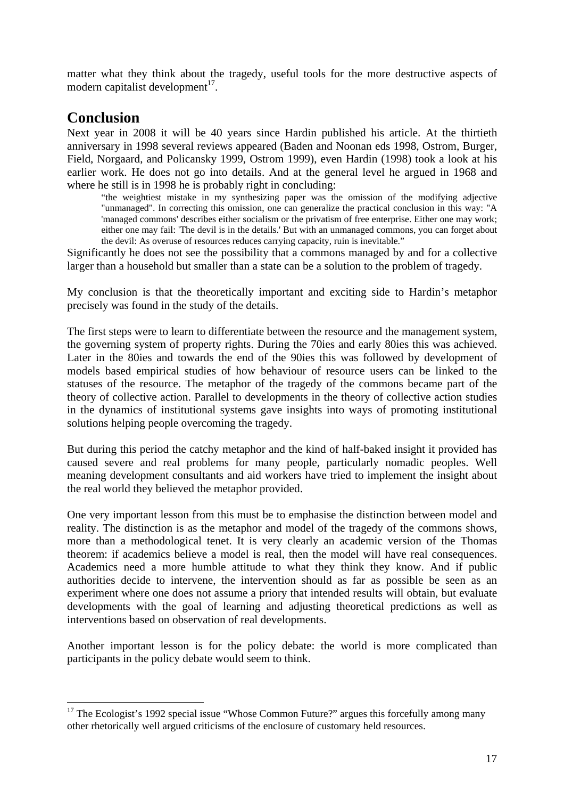matter what they think about the tragedy, useful tools for the more destructive aspects of modern capitalist development $17$ .

## **Conclusion**

1

Next year in 2008 it will be 40 years since Hardin published his article. At the thirtieth anniversary in 1998 several reviews appeared (Baden and Noonan eds 1998, Ostrom, Burger, Field, Norgaard, and Policansky 1999, Ostrom 1999), even Hardin (1998) took a look at his earlier work. He does not go into details. And at the general level he argued in 1968 and where he still is in 1998 he is probably right in concluding:

"the weightiest mistake in my synthesizing paper was the omission of the modifying adjective "unmanaged". In correcting this omission, one can generalize the practical conclusion in this way: "A 'managed commons' describes either socialism or the privatism of free enterprise. Either one may work; either one may fail: 'The devil is in the details.' But with an unmanaged commons, you can forget about the devil: As overuse of resources reduces carrying capacity, ruin is inevitable."

Significantly he does not see the possibility that a commons managed by and for a collective larger than a household but smaller than a state can be a solution to the problem of tragedy.

My conclusion is that the theoretically important and exciting side to Hardin's metaphor precisely was found in the study of the details.

The first steps were to learn to differentiate between the resource and the management system, the governing system of property rights. During the 70ies and early 80ies this was achieved. Later in the 80ies and towards the end of the 90ies this was followed by development of models based empirical studies of how behaviour of resource users can be linked to the statuses of the resource. The metaphor of the tragedy of the commons became part of the theory of collective action. Parallel to developments in the theory of collective action studies in the dynamics of institutional systems gave insights into ways of promoting institutional solutions helping people overcoming the tragedy.

But during this period the catchy metaphor and the kind of half-baked insight it provided has caused severe and real problems for many people, particularly nomadic peoples. Well meaning development consultants and aid workers have tried to implement the insight about the real world they believed the metaphor provided.

One very important lesson from this must be to emphasise the distinction between model and reality. The distinction is as the metaphor and model of the tragedy of the commons shows, more than a methodological tenet. It is very clearly an academic version of the Thomas theorem: if academics believe a model is real, then the model will have real consequences. Academics need a more humble attitude to what they think they know. And if public authorities decide to intervene, the intervention should as far as possible be seen as an experiment where one does not assume a priory that intended results will obtain, but evaluate developments with the goal of learning and adjusting theoretical predictions as well as interventions based on observation of real developments.

Another important lesson is for the policy debate: the world is more complicated than participants in the policy debate would seem to think.

 $17$  The Ecologist's 1992 special issue "Whose Common Future?" argues this forcefully among many other rhetorically well argued criticisms of the enclosure of customary held resources.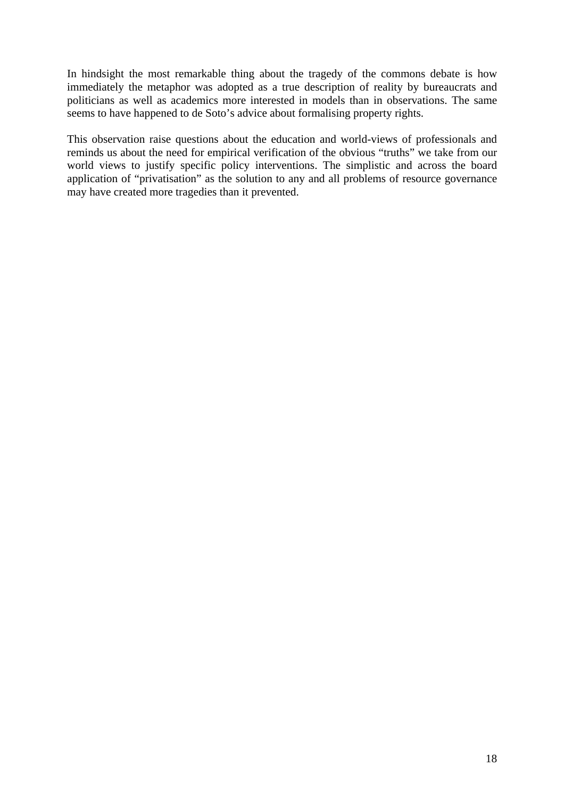In hindsight the most remarkable thing about the tragedy of the commons debate is how immediately the metaphor was adopted as a true description of reality by bureaucrats and politicians as well as academics more interested in models than in observations. The same seems to have happened to de Soto's advice about formalising property rights.

This observation raise questions about the education and world-views of professionals and reminds us about the need for empirical verification of the obvious "truths" we take from our world views to justify specific policy interventions. The simplistic and across the board application of "privatisation" as the solution to any and all problems of resource governance may have created more tragedies than it prevented.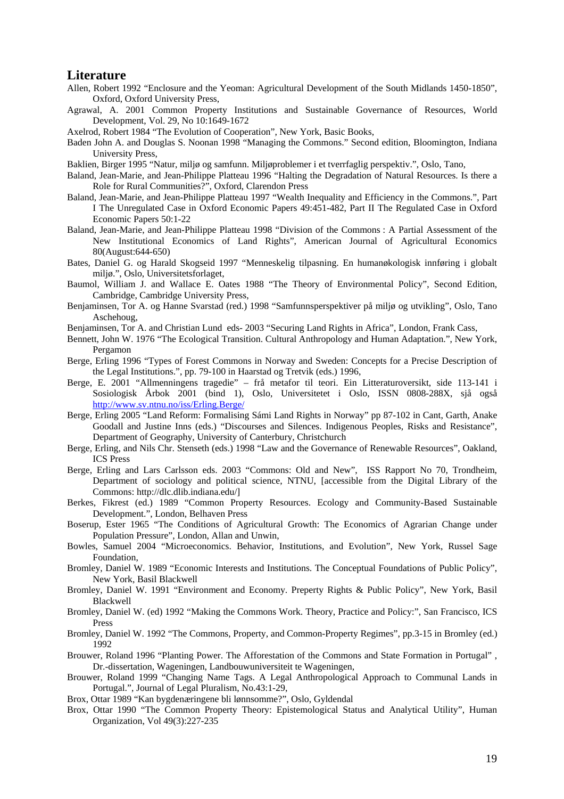#### **Literature**

- Allen, Robert 1992 "Enclosure and the Yeoman: Agricultural Development of the South Midlands 1450-1850", Oxford, Oxford University Press,
- Agrawal, A. 2001 Common Property Institutions and Sustainable Governance of Resources, World Development, Vol. 29, No 10:1649-1672
- Axelrod, Robert 1984 "The Evolution of Cooperation", New York, Basic Books,
- Baden John A. and Douglas S. Noonan 1998 "Managing the Commons." Second edition, Bloomington, Indiana University Press,
- Baklien, Birger 1995 "Natur, miljø og samfunn. Miljøproblemer i et tverrfaglig perspektiv.", Oslo, Tano,
- Baland, Jean-Marie, and Jean-Philippe Platteau 1996 "Halting the Degradation of Natural Resources. Is there a Role for Rural Communities?", Oxford, Clarendon Press
- Baland, Jean-Marie, and Jean-Philippe Platteau 1997 "Wealth Inequality and Efficiency in the Commons.", Part I The Unregulated Case in Oxford Economic Papers 49:451-482, Part II The Regulated Case in Oxford Economic Papers 50:1-22
- Baland, Jean-Marie, and Jean-Philippe Platteau 1998 "Division of the Commons : A Partial Assessment of the New Institutional Economics of Land Rights", American Journal of Agricultural Economics 80(August:644-650)
- Bates, Daniel G. og Harald Skogseid 1997 "Menneskelig tilpasning. En humanøkologisk innføring i globalt miljø.", Oslo, Universitetsforlaget,
- Baumol, William J. and Wallace E. Oates 1988 "The Theory of Environmental Policy", Second Edition, Cambridge, Cambridge University Press,
- Benjaminsen, Tor A. og Hanne Svarstad (red.) 1998 "Samfunnsperspektiver på miljø og utvikling", Oslo, Tano Aschehoug,
- Benjaminsen, Tor A. and Christian Lund eds- 2003 "Securing Land Rights in Africa", London, Frank Cass,
- Bennett, John W. 1976 "The Ecological Transition. Cultural Anthropology and Human Adaptation.", New York, Pergamon
- Berge, Erling 1996 "Types of Forest Commons in Norway and Sweden: Concepts for a Precise Description of the Legal Institutions.", pp. 79-100 in Haarstad og Tretvik (eds.) 1996,
- Berge, E. 2001 "Allmenningens tragedie" frå metafor til teori. Ein Litteraturoversikt, side 113-141 i Sosiologisk Årbok 2001 (bind 1), Oslo, Universitetet i Oslo, ISSN 0808-288X, sjå også http://www.sv.ntnu.no/iss/Erling.Berge/
- Berge, Erling 2005 "Land Reform: Formalising Sámi Land Rights in Norway" pp 87-102 in Cant, Garth, Anake Goodall and Justine Inns (eds.) "Discourses and Silences. Indigenous Peoples, Risks and Resistance", Department of Geography, University of Canterbury, Christchurch
- Berge, Erling, and Nils Chr. Stenseth (eds.) 1998 "Law and the Governance of Renewable Resources", Oakland, ICS Press
- Berge, Erling and Lars Carlsson eds. 2003 "Commons: Old and New", ISS Rapport No 70, Trondheim, Department of sociology and political science, NTNU, [accessible from the Digital Library of the Commons: http://dlc.dlib.indiana.edu/]
- Berkes, Fikrest (ed.) 1989 "Common Property Resources. Ecology and Community-Based Sustainable Development.", London, Belhaven Press
- Boserup, Ester 1965 "The Conditions of Agricultural Growth: The Economics of Agrarian Change under Population Pressure", London, Allan and Unwin,
- Bowles, Samuel 2004 "Microeconomics. Behavior, Institutions, and Evolution", New York, Russel Sage Foundation,
- Bromley, Daniel W. 1989 "Economic Interests and Institutions. The Conceptual Foundations of Public Policy", New York, Basil Blackwell
- Bromley, Daniel W. 1991 "Environment and Economy. Preperty Rights & Public Policy", New York, Basil Blackwell
- Bromley, Daniel W. (ed) 1992 "Making the Commons Work. Theory, Practice and Policy:", San Francisco, ICS Press
- Bromley, Daniel W. 1992 "The Commons, Property, and Common-Property Regimes", pp.3-15 in Bromley (ed.) 1992
- Brouwer, Roland 1996 "Planting Power. The Afforestation of the Commons and State Formation in Portugal" , Dr.-dissertation, Wageningen, Landbouwuniversiteit te Wageningen,
- Brouwer, Roland 1999 "Changing Name Tags. A Legal Anthropological Approach to Communal Lands in Portugal.", Journal of Legal Pluralism, No.43:1-29,
- Brox, Ottar 1989 "Kan bygdenæringene bli lønnsomme?", Oslo, Gyldendal
- Brox, Ottar 1990 "The Common Property Theory: Epistemological Status and Analytical Utility", Human Organization, Vol 49(3):227-235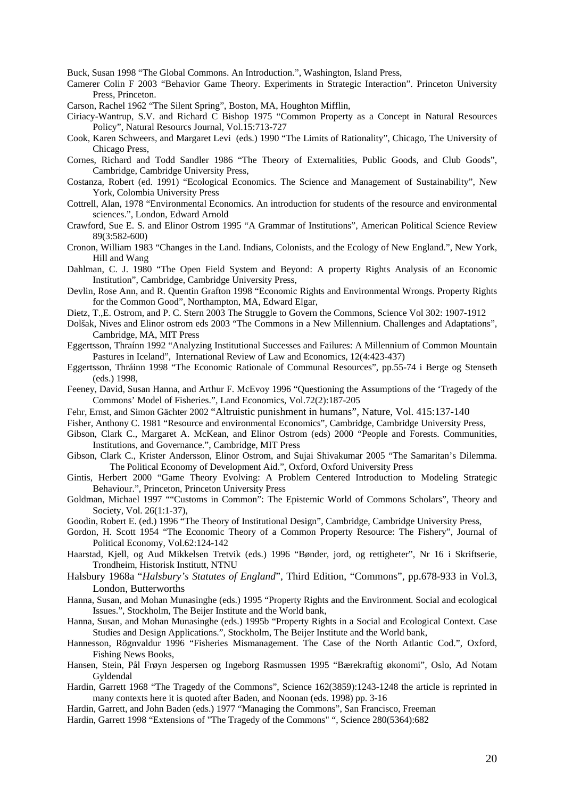Buck, Susan 1998 "The Global Commons. An Introduction.", Washington, Island Press,

- Camerer Colin F 2003 "Behavior Game Theory. Experiments in Strategic Interaction". Princeton University Press, Princeton.
- Carson, Rachel 1962 "The Silent Spring", Boston, MA, Houghton Mifflin,
- Ciriacy-Wantrup, S.V. and Richard C Bishop 1975 "Common Property as a Concept in Natural Resources Policy", Natural Resourcs Journal, Vol.15:713-727
- Cook, Karen Schweers, and Margaret Levi (eds.) 1990 "The Limits of Rationality", Chicago, The University of Chicago Press,
- Cornes, Richard and Todd Sandler 1986 "The Theory of Externalities, Public Goods, and Club Goods", Cambridge, Cambridge University Press,
- Costanza, Robert (ed. 1991) "Ecological Economics. The Science and Management of Sustainability", New York, Colombia University Press
- Cottrell, Alan, 1978 "Environmental Economics. An introduction for students of the resource and environmental sciences.", London, Edward Arnold
- Crawford, Sue E. S. and Elinor Ostrom 1995 "A Grammar of Institutions", American Political Science Review 89(3:582-600)
- Cronon, William 1983 "Changes in the Land. Indians, Colonists, and the Ecology of New England.", New York, Hill and Wang
- Dahlman, C. J. 1980 "The Open Field System and Beyond: A property Rights Analysis of an Economic Institution", Cambridge, Cambridge University Press,
- Devlin, Rose Ann, and R. Quentin Grafton 1998 "Economic Rights and Environmental Wrongs. Property Rights for the Common Good", Northampton, MA, Edward Elgar,
- Dietz, T.,E. Ostrom, and P. C. Stern 2003 The Struggle to Govern the Commons, Science Vol 302: 1907-1912
- Dolšak, Nives and Elinor ostrom eds 2003 "The Commons in a New Millennium. Challenges and Adaptations", Cambridge, MA, MIT Press
- Eggertsson, Thraínn 1992 "Analyzing Institutional Successes and Failures: A Millennium of Common Mountain Pastures in Iceland", International Review of Law and Economics, 12(4:423-437)
- Eggertsson, Thráinn 1998 "The Economic Rationale of Communal Resources", pp.55-74 i Berge og Stenseth (eds.) 1998,
- Feeney, David, Susan Hanna, and Arthur F. McEvoy 1996 "Questioning the Assumptions of the 'Tragedy of the Commons' Model of Fisheries.", Land Economics, Vol.72(2):187-205
- Fehr, Ernst, and Simon Gächter 2002 "Altruistic punishment in humans", Nature, Vol. 415:137-140
- Fisher, Anthony C. 1981 "Resource and environmental Economics", Cambridge, Cambridge University Press,
- Gibson, Clark C., Margaret A. McKean, and Elinor Ostrom (eds) 2000 "People and Forests. Communities, Institutions, and Governance.", Cambridge, MIT Press
- Gibson, Clark C., Krister Andersson, Elinor Ostrom, and Sujai Shivakumar 2005 "The Samaritan's Dilemma. The Political Economy of Development Aid.", Oxford, Oxford University Press
- Gintis, Herbert 2000 "Game Theory Evolving: A Problem Centered Introduction to Modeling Strategic Behaviour.", Princeton, Princeton University Press
- Goldman, Michael 1997 ""Customs in Common": The Epistemic World of Commons Scholars", Theory and Society, Vol. 26(1:1-37),
- Goodin, Robert E. (ed.) 1996 "The Theory of Institutional Design", Cambridge, Cambridge University Press,
- Gordon, H. Scott 1954 "The Economic Theory of a Common Property Resource: The Fishery", Journal of Political Economy, Vol.62:124-142
- Haarstad, Kjell, og Aud Mikkelsen Tretvik (eds.) 1996 "Bønder, jord, og rettigheter", Nr 16 i Skriftserie, Trondheim, Historisk Institutt, NTNU
- Halsbury 1968a "*Halsbury's Statutes of England*", Third Edition, "Commons", pp.678-933 in Vol.3, London, Butterworths
- Hanna, Susan, and Mohan Munasinghe (eds.) 1995 "Property Rights and the Environment. Social and ecological Issues.", Stockholm, The Beijer Institute and the World bank,
- Hanna, Susan, and Mohan Munasinghe (eds.) 1995b "Property Rights in a Social and Ecological Context. Case Studies and Design Applications.", Stockholm, The Beijer Institute and the World bank,
- Hannesson, Rögnvaldur 1996 "Fisheries Mismanagement. The Case of the North Atlantic Cod.", Oxford, Fishing News Books,
- Hansen, Stein, Pål Frøyn Jespersen og Ingeborg Rasmussen 1995 "Bærekraftig økonomi", Oslo, Ad Notam Gyldendal
- Hardin, Garrett 1968 "The Tragedy of the Commons", Science 162(3859):1243-1248 the article is reprinted in many contexts here it is quoted after Baden, and Noonan (eds. 1998) pp. 3-16
- Hardin, Garrett, and John Baden (eds.) 1977 "Managing the Commons", San Francisco, Freeman
- Hardin, Garrett 1998 "Extensions of "The Tragedy of the Commons" ", Science 280(5364):682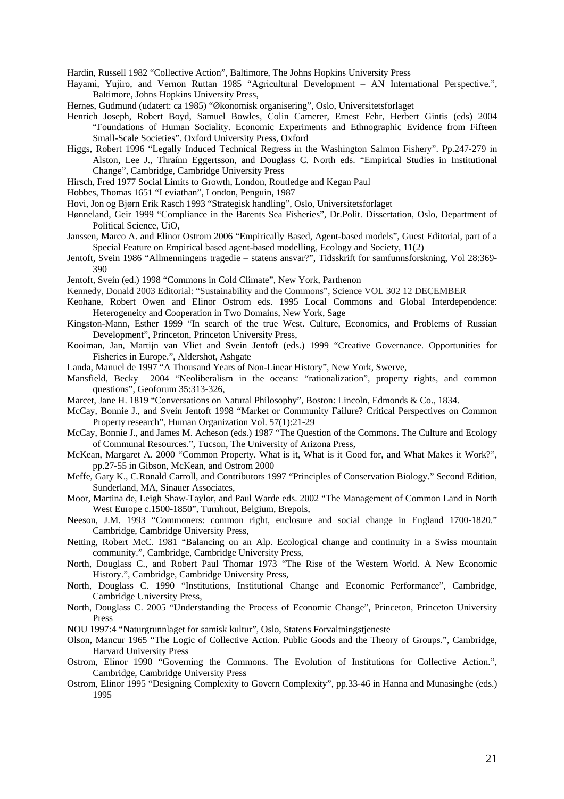Hardin, Russell 1982 "Collective Action", Baltimore, The Johns Hopkins University Press

- Hayami, Yujiro, and Vernon Ruttan 1985 "Agricultural Development AN International Perspective.", Baltimore, Johns Hopkins University Press,
- Hernes, Gudmund (udatert: ca 1985) "Økonomisk organisering", Oslo, Universitetsforlaget
- Henrich Joseph, Robert Boyd, Samuel Bowles, Colin Camerer, Ernest Fehr, Herbert Gintis (eds) 2004 "Foundations of Human Sociality. Economic Experiments and Ethnographic Evidence from Fifteen Small-Scale Societies". Oxford University Press, Oxford
- Higgs, Robert 1996 "Legally Induced Technical Regress in the Washington Salmon Fishery". Pp.247-279 in Alston, Lee J., Thraínn Eggertsson, and Douglass C. North eds. "Empirical Studies in Institutional Change", Cambridge, Cambridge University Press
- Hirsch, Fred 1977 Social Limits to Growth, London, Routledge and Kegan Paul
- Hobbes, Thomas 1651 "Leviathan", London, Penguin, 1987
- Hovi, Jon og Bjørn Erik Rasch 1993 "Strategisk handling", Oslo, Universitetsforlaget
- Hønneland, Geir 1999 "Compliance in the Barents Sea Fisheries", Dr.Polit. Dissertation, Oslo, Department of Political Science, UiO,
- Janssen, Marco A. and Elinor Ostrom 2006 "Empirically Based, Agent-based models", Guest Editorial, part of a Special Feature on Empirical based agent-based modelling, Ecology and Society, 11(2)
- Jentoft, Svein 1986 "Allmenningens tragedie statens ansvar?", Tidsskrift for samfunnsforskning, Vol 28:369- 390
- Jentoft, Svein (ed.) 1998 "Commons in Cold Climate", New York, Parthenon
- Kennedy, Donald 2003 Editorial: "Sustainability and the Commons", Science VOL 302 12 DECEMBER
- Keohane, Robert Owen and Elinor Ostrom eds. 1995 Local Commons and Global Interdependence: Heterogeneity and Cooperation in Two Domains, New York, Sage
- Kingston-Mann, Esther 1999 "In search of the true West. Culture, Economics, and Problems of Russian Development", Princeton, Princeton University Press,
- Kooiman, Jan, Martijn van Vliet and Svein Jentoft (eds.) 1999 "Creative Governance. Opportunities for Fisheries in Europe.", Aldershot, Ashgate
- Landa, Manuel de 1997 "A Thousand Years of Non-Linear History", New York, Swerve,
- Mansfield, Becky 2004 "Neoliberalism in the oceans: "rationalization", property rights, and common questions", Geoforum 35:313-326,
- Marcet, Jane H. 1819 "Conversations on Natural Philosophy", Boston: Lincoln, Edmonds & Co., 1834.
- McCay, Bonnie J., and Svein Jentoft 1998 "Market or Community Failure? Critical Perspectives on Common Property research", Human Organization Vol. 57(1):21-29
- McCay, Bonnie J., and James M. Acheson (eds.) 1987 "The Question of the Commons. The Culture and Ecology of Communal Resources.", Tucson, The University of Arizona Press,
- McKean, Margaret A. 2000 "Common Property. What is it, What is it Good for, and What Makes it Work?", pp.27-55 in Gibson, McKean, and Ostrom 2000
- Meffe, Gary K., C.Ronald Carroll, and Contributors 1997 "Principles of Conservation Biology." Second Edition, Sunderland, MA, Sinauer Associates,
- Moor, Martina de, Leigh Shaw-Taylor, and Paul Warde eds. 2002 "The Management of Common Land in North West Europe c.1500-1850", Turnhout, Belgium, Brepols,
- Neeson, J.M. 1993 "Commoners: common right, enclosure and social change in England 1700-1820." Cambridge, Cambridge University Press,
- Netting, Robert McC. 1981 "Balancing on an Alp. Ecological change and continuity in a Swiss mountain community.", Cambridge, Cambridge University Press,
- North, Douglass C., and Robert Paul Thomar 1973 "The Rise of the Western World. A New Economic History.", Cambridge, Cambridge University Press,
- North, Douglass C. 1990 "Institutions, Institutional Change and Economic Performance", Cambridge, Cambridge University Press,
- North, Douglass C. 2005 "Understanding the Process of Economic Change", Princeton, Princeton University Press
- NOU 1997:4 "Naturgrunnlaget for samisk kultur", Oslo, Statens Forvaltningstjeneste
- Olson, Mancur 1965 "The Logic of Collective Action. Public Goods and the Theory of Groups.", Cambridge, Harvard University Press
- Ostrom, Elinor 1990 "Governing the Commons. The Evolution of Institutions for Collective Action.", Cambridge, Cambridge University Press
- Ostrom, Elinor 1995 "Designing Complexity to Govern Complexity", pp.33-46 in Hanna and Munasinghe (eds.) 1995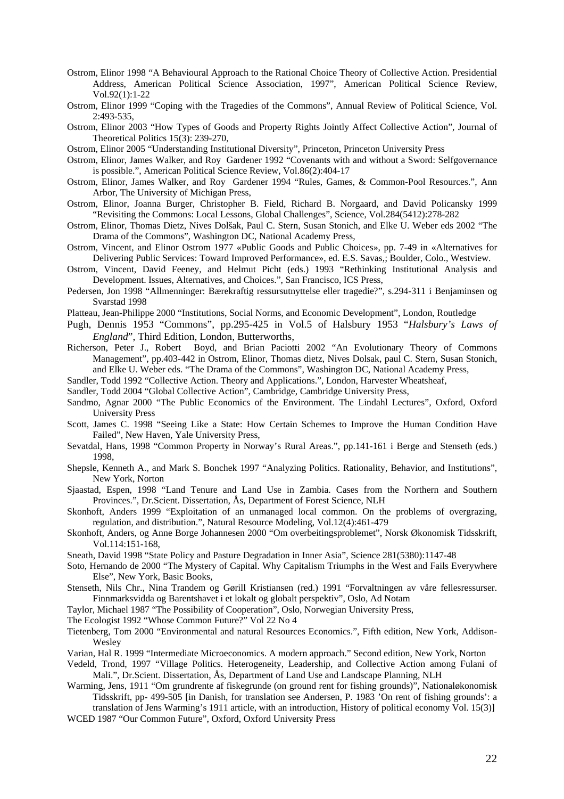- Ostrom, Elinor 1998 "A Behavioural Approach to the Rational Choice Theory of Collective Action. Presidential Address, American Political Science Association, 1997", American Political Science Review, Vol.92(1):1-22
- Ostrom, Elinor 1999 "Coping with the Tragedies of the Commons", Annual Review of Political Science, Vol. 2:493-535,
- Ostrom, Elinor 2003 "How Types of Goods and Property Rights Jointly Affect Collective Action", Journal of Theoretical Politics 15(3): 239-270,
- Ostrom, Elinor 2005 "Understanding Institutional Diversity", Princeton, Princeton University Press
- Ostrom, Elinor, James Walker, and Roy Gardener 1992 "Covenants with and without a Sword: Selfgovernance is possible.", American Political Science Review, Vol.86(2):404-17
- Ostrom, Elinor, James Walker, and Roy Gardener 1994 "Rules, Games, & Common-Pool Resources.", Ann Arbor, The University of Michigan Press,
- Ostrom, Elinor, Joanna Burger, Christopher B. Field, Richard B. Norgaard, and David Policansky 1999 "Revisiting the Commons: Local Lessons, Global Challenges", Science, Vol.284(5412):278-282
- Ostrom, Elinor, Thomas Dietz, Nives Dolšak, Paul C. Stern, Susan Stonich, and Elke U. Weber eds 2002 "The Drama of the Commons", Washington DC, National Academy Press,
- Ostrom, Vincent, and Elinor Ostrom 1977 «Public Goods and Public Choices», pp. 7-49 in «Alternatives for Delivering Public Services: Toward Improved Performance», ed. E.S. Savas,; Boulder, Colo., Westview.
- Ostrom, Vincent, David Feeney, and Helmut Picht (eds.) 1993 "Rethinking Institutional Analysis and Development. Issues, Alternatives, and Choices.", San Francisco, ICS Press,
- Pedersen, Jon 1998 "Allmenninger: Bærekraftig ressursutnyttelse eller tragedie?", s.294-311 i Benjaminsen og Svarstad 1998
- Platteau, Jean-Philippe 2000 "Institutions, Social Norms, and Economic Development", London, Routledge
- Pugh, Dennis 1953 "Commons", pp.295-425 in Vol.5 of Halsbury 1953 "*Halsbury's Laws of England*", Third Edition, London, Butterworths,
- Richerson, Peter J., Robert Boyd, and Brian Paciotti 2002 "An Evolutionary Theory of Commons Management", pp.403-442 in Ostrom, Elinor, Thomas dietz, Nives Dolsak, paul C. Stern, Susan Stonich, and Elke U. Weber eds. "The Drama of the Commons", Washington DC, National Academy Press,
- Sandler, Todd 1992 "Collective Action. Theory and Applications.", London, Harvester Wheatsheaf,
- Sandler, Todd 2004 "Global Collective Action", Cambridge, Cambridge University Press,
- Sandmo, Agnar 2000 "The Public Economics of the Environment. The Lindahl Lectures", Oxford, Oxford University Press
- Scott, James C. 1998 "Seeing Like a State: How Certain Schemes to Improve the Human Condition Have Failed", New Haven, Yale University Press,
- Sevatdal, Hans, 1998 "Common Property in Norway's Rural Areas.", pp.141-161 i Berge and Stenseth (eds.) 1998,
- Shepsle, Kenneth A., and Mark S. Bonchek 1997 "Analyzing Politics. Rationality, Behavior, and Institutions", New York, Norton
- Sjaastad, Espen, 1998 "Land Tenure and Land Use in Zambia. Cases from the Northern and Southern Provinces.", Dr.Scient. Dissertation, Ås, Department of Forest Science, NLH
- Skonhoft, Anders 1999 "Exploitation of an unmanaged local common. On the problems of overgrazing, regulation, and distribution.", Natural Resource Modeling, Vol.12(4):461-479
- Skonhoft, Anders, og Anne Borge Johannesen 2000 "Om overbeitingsproblemet", Norsk Økonomisk Tidsskrift, Vol.114:151-168,
- Sneath, David 1998 "State Policy and Pasture Degradation in Inner Asia", Science 281(5380):1147-48
- Soto, Hernando de 2000 "The Mystery of Capital. Why Capitalism Triumphs in the West and Fails Everywhere Else", New York, Basic Books,
- Stenseth, Nils Chr., Nina Trandem og Gørill Kristiansen (red.) 1991 "Forvaltningen av våre fellesressurser. Finnmarksvidda og Barentshavet i et lokalt og globalt perspektiv", Oslo, Ad Notam
- Taylor, Michael 1987 "The Possibility of Cooperation", Oslo, Norwegian University Press,
- The Ecologist 1992 "Whose Common Future?" Vol 22 No 4
- Tietenberg, Tom 2000 "Environmental and natural Resources Economics.", Fifth edition, New York, Addison-Wesley
- Varian, Hal R. 1999 "Intermediate Microeconomics. A modern approach." Second edition, New York, Norton
- Vedeld, Trond, 1997 "Village Politics. Heterogeneity, Leadership, and Collective Action among Fulani of Mali.", Dr.Scient. Dissertation, Ås, Department of Land Use and Landscape Planning, NLH
- Warming, Jens, 1911 "Om grundrente af fiskegrunde (on ground rent for fishing grounds)", Nationaløkonomisk Tidsskrift, pp- 499-505 [in Danish, for translation see Andersen, P. 1983 'On rent of fishing grounds': a translation of Jens Warming's 1911 article, with an introduction, History of political economy Vol. 15(3)]
- WCED 1987 "Our Common Future", Oxford, Oxford University Press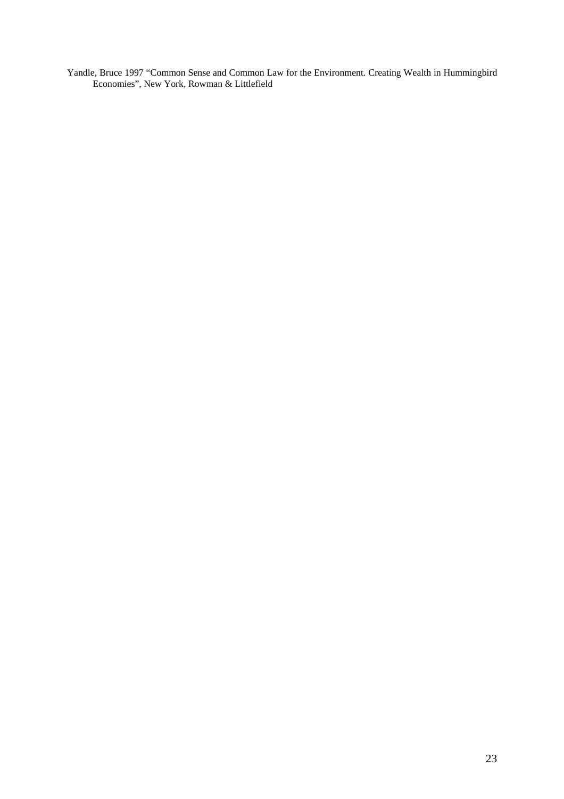Yandle, Bruce 1997 "Common Sense and Common Law for the Environment. Creating Wealth in Hummingbird Economies", New York, Rowman & Littlefield